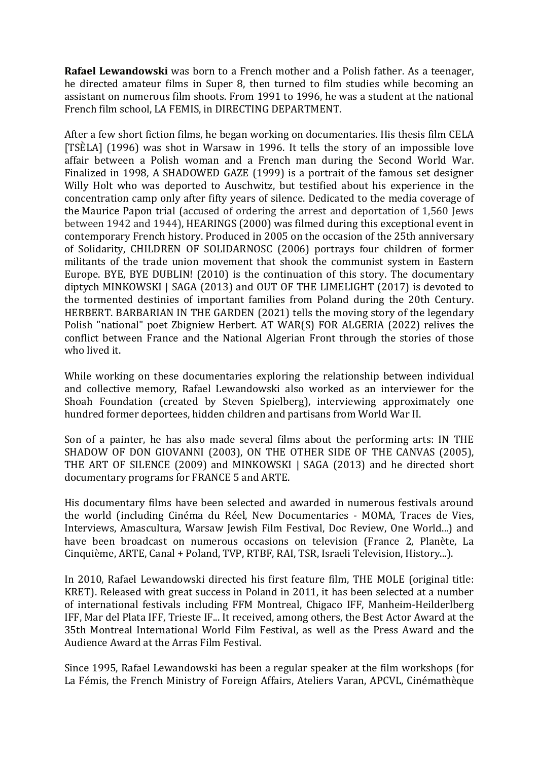**Rafael Lewandowski** was born to a French mother and a Polish father. As a teenager, he directed amateur films in Super 8, then turned to film studies while becoming an assistant on numerous film shoots. From 1991 to 1996, he was a student at the national French film school, LA FEMIS, in DIRECTING DEPARTMENT.

After a few short fiction films, he began working on documentaries. His thesis film CELA [TSÈLA] (1996) was shot in Warsaw in 1996. It tells the story of an impossible love affair between a Polish woman and a French man during the Second World War. Finalized in 1998, A SHADOWED GAZE (1999) is a portrait of the famous set designer Willy Holt who was deported to Auschwitz, but testified about his experience in the concentration camp only after fifty years of silence. Dedicated to the media coverage of the Maurice Papon trial (accused of ordering the arrest and deportation of 1,560 Jews between 1942 and 1944), HEARINGS (2000) was filmed during this exceptional event in contemporary French history. Produced in 2005 on the occasion of the 25th anniversary of Solidarity, CHILDREN OF SOLIDARNOSC (2006) portrays four children of former militants of the trade union movement that shook the communist system in Eastern Europe. BYE, BYE DUBLIN! (2010) is the continuation of this story. The documentary diptych MINKOWSKI  $\mid$  SAGA (2013) and OUT OF THE LIMELIGHT (2017) is devoted to the tormented destinies of important families from Poland during the 20th Century. HERBERT. BARBARIAN IN THE GARDEN (2021) tells the moving story of the legendary Polish "national" poet Zbigniew Herbert. AT WAR(S) FOR ALGERIA (2022) relives the conflict between France and the National Algerian Front through the stories of those who lived it.

While working on these documentaries exploring the relationship between individual and collective memory, Rafael Lewandowski also worked as an interviewer for the Shoah Foundation (created by Steven Spielberg), interviewing approximately one hundred former deportees, hidden children and partisans from World War II.

Son of a painter, he has also made several films about the performing arts: IN THE SHADOW OF DON GIOVANNI (2003), ON THE OTHER SIDE OF THE CANVAS (2005), THE ART OF SILENCE (2009) and MINKOWSKI | SAGA (2013) and he directed short documentary programs for FRANCE 5 and ARTE.

His documentary films have been selected and awarded in numerous festivals around the world (including Cinéma du Réel, New Documentaries - MOMA, Traces de Vies, Interviews, Amascultura, Warsaw Jewish Film Festival, Doc Review, One World...) and have been broadcast on numerous occasions on television (France 2, Planète, La Cinquième, ARTE, Canal + Poland, TVP, RTBF, RAI, TSR, Israeli Television, History...).

In 2010, Rafael Lewandowski directed his first feature film, THE MOLE (original title: KRET). Released with great success in Poland in 2011, it has been selected at a number of international festivals including FFM Montreal, Chigaco IFF, Manheim-Heilderlberg IFF, Mar del Plata IFF, Trieste IF... It received, among others, the Best Actor Award at the 35th Montreal International World Film Festival, as well as the Press Award and the Audience Award at the Arras Film Festival.

Since 1995, Rafael Lewandowski has been a regular speaker at the film workshops (for La Fémis, the French Ministry of Foreign Affairs, Ateliers Varan, APCVL, Cinémathèque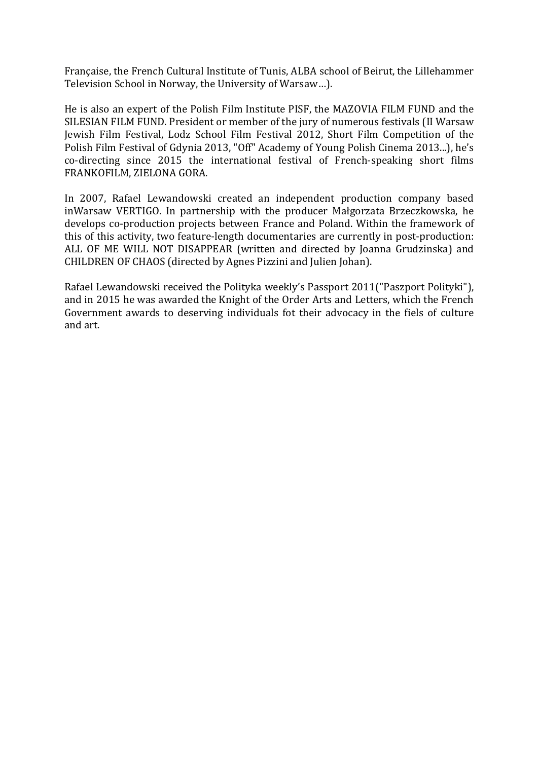Française, the French Cultural Institute of Tunis, ALBA school of Beirut, the Lillehammer Television School in Norway, the University of Warsaw...).

He is also an expert of the Polish Film Institute PISF, the MAZOVIA FILM FUND and the SILESIAN FILM FUND. President or member of the jury of numerous festivals (II Warsaw Jewish Film Festival, Lodz School Film Festival 2012, Short Film Competition of the Polish Film Festival of Gdynia 2013, "Off" Academy of Young Polish Cinema 2013...), he's co-directing since 2015 the international festival of French-speaking short films FRANKOFILM, ZIELONA GORA.

In 2007, Rafael Lewandowski created an independent production company based inWarsaw VERTIGO. In partnership with the producer Małgorzata Brzeczkowska, he develops co-production projects between France and Poland. Within the framework of this of this activity, two feature-length documentaries are currently in post-production: ALL OF ME WILL NOT DISAPPEAR (written and directed by Joanna Grudzinska) and CHILDREN OF CHAOS (directed by Agnes Pizzini and Julien Johan).

Rafael Lewandowski received the Polityka weekly's Passport 2011("Paszport Polityki"), and in 2015 he was awarded the Knight of the Order Arts and Letters, which the French Government awards to deserving individuals fot their advocacy in the fiels of culture and art.